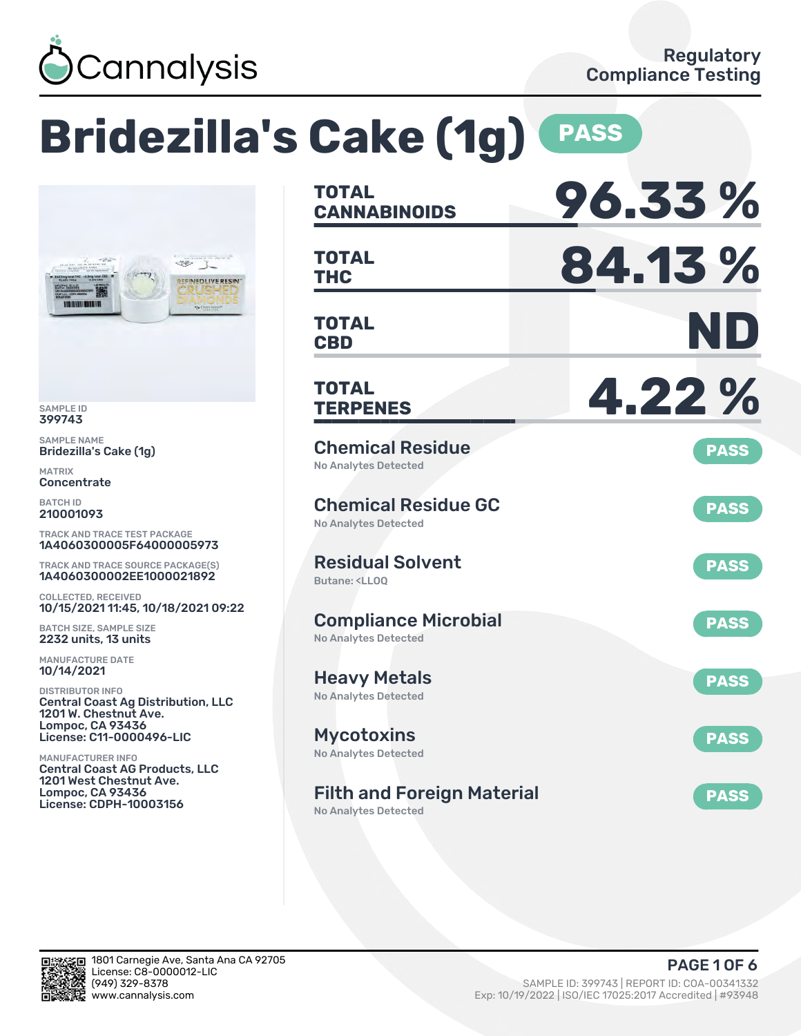

### **Bridezilla's Cake (1g) PASS CANNABINOIDS 96.33 % TOTAL THC 84.13 % TOTAL** 35  $\mathcal{I}$ **FINED LIVE RESIN CBD ND TOTAL TERPENES 4.22 % TOTAL** Chemical Residue **PASS** No Analytes Detected Chemical Residue GC **PASS** No Analytes Detected TRACK AND TRACE TEST PACKAGE 1A4060300005F64000005973 Residual Solvent TRACK AND TRACE SOURCE PACKAGE(S) **PASS** 1A4060300002EE1000021892 Butane: <LLOQ 10/15/2021 11:45, 10/18/2021 09:22 Compliance Microbial **PASS** No Analytes Detected Heavy Metals **PASS** No Analytes Detected Central Coast Ag Distribution, LLC License: C11-0000496-LIC Mycotoxins **PASS** No Analytes Detected Central Coast AG Products, LLC Filth and Foreign Material **PASS** No Analytes Detected

SAMPLE ID 399743 SAMPLE NAME

100 0100 0000 000

MATRIX **Concentrate** BATCH ID 210001093

Bridezilla's Cake (1g)

COLLECTED, RECEIVED

BATCH SIZE, SAMPLE SIZE 2232 units, 13 units MANUFACTURE DATE 10/14/2021 DISTRIBUTOR INFO

1201 W. Chestnut Ave. Lompoc, CA 93436

1201 West Chestnut Ave. Lompoc, CA 93436 License: CDPH-10003156

MANUFACTURER INFO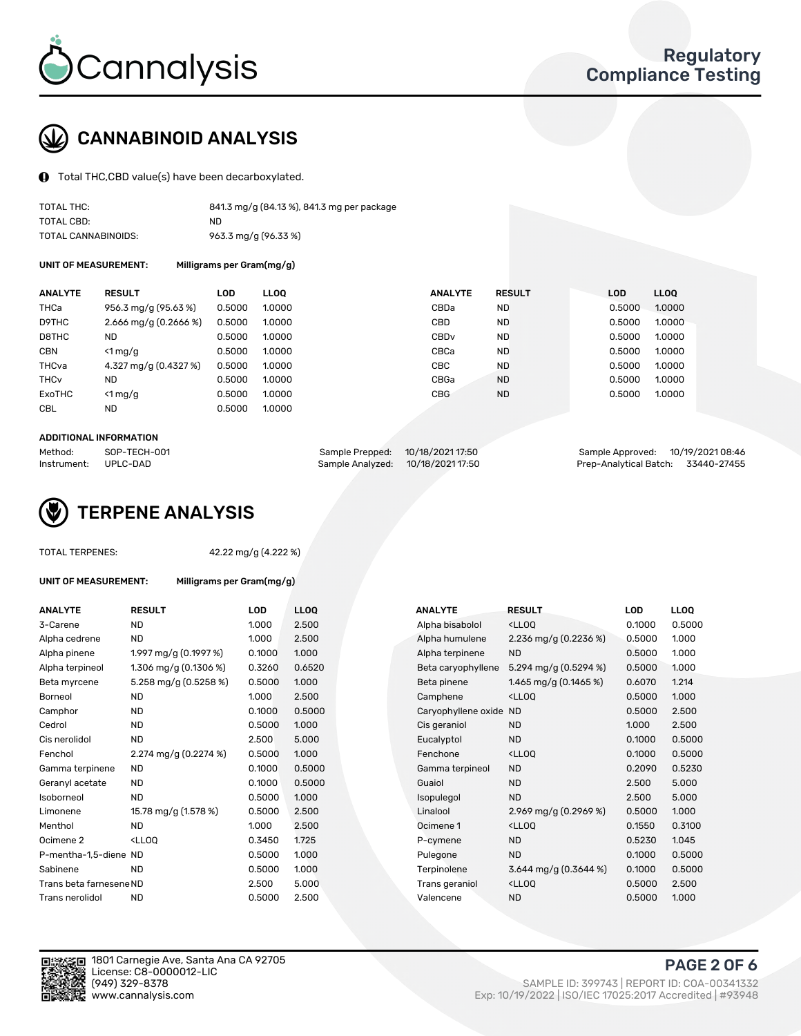

# CANNABINOID ANALYSIS

Total THC,CBD value(s) have been decarboxylated.

| TOTAL THC:          | 841.3 mg/g (84.13 %), 841.3 mg per package |
|---------------------|--------------------------------------------|
| TOTAL CBD:          | ND.                                        |
| TOTAL CANNABINOIDS: | 963.3 mg/g (96.33 %)                       |

UNIT OF MEASUREMENT: Milligrams per Gram(mg/g)

| <b>ANALYTE</b>         | <b>RESULT</b>           | LOD    | <b>LLOO</b> | <b>ANALYTE</b>   | <b>RESULT</b> | <b>LOD</b> | <b>LLOQ</b> |
|------------------------|-------------------------|--------|-------------|------------------|---------------|------------|-------------|
| THCa                   | 956.3 mg/g (95.63 %)    | 0.5000 | 1.0000      | CBDa             | <b>ND</b>     | 0.5000     | 1.0000      |
| D9THC                  | 2.666 mg/g $(0.2666\%)$ | 0.5000 | 1.0000      | CBD              | <b>ND</b>     | 0.5000     | 1.0000      |
| D8THC                  | <b>ND</b>               | 0.5000 | 1.0000      | CBD <sub>v</sub> | <b>ND</b>     | 0.5000     | 1.0000      |
| <b>CBN</b>             | $<$ 1 mg/g              | 0.5000 | 1.0000      | CBCa             | <b>ND</b>     | 0.5000     | 1.0000      |
| THCva                  | 4.327 mg/g (0.4327 %)   | 0.5000 | 1.0000      | CBC              | <b>ND</b>     | 0.5000     | 1.0000      |
| <b>THC<sub>v</sub></b> | <b>ND</b>               | 0.5000 | 1.0000      | CBGa             | <b>ND</b>     | 0.5000     | 1.0000      |
| ExoTHC                 | $<$ 1 mg/g              | 0.5000 | 1.0000      | <b>CBG</b>       | <b>ND</b>     | 0.5000     | 1.0000      |
| <b>CBL</b>             | <b>ND</b>               | 0.5000 | 1.0000      |                  |               |            |             |
|                        |                         |        |             |                  |               |            |             |

#### ADDITIONAL INFORMATION

| Method:              | SOP-TECH-001 | Sample Prepped: 10/18/2021 17:50  | Sample Approved: 10/19/2021 08:46  |  |
|----------------------|--------------|-----------------------------------|------------------------------------|--|
| Instrument: UPLC-DAD |              | Sample Analyzed: 10/18/2021 17:50 | Prep-Analytical Batch: 33440-27455 |  |



TOTAL TERPENES: 42.22 mg/g (4.222 %)

| UNIT OF MEASUREMENT: | Milligrams per Gram(mg/g) |            |             |                        |                                      |            |
|----------------------|---------------------------|------------|-------------|------------------------|--------------------------------------|------------|
| <b>ANALYTE</b>       | <b>RESULT</b>             | <b>LOD</b> | <b>LLOQ</b> | <b>ANALYTE</b>         | <b>RESULT</b>                        | <b>LOD</b> |
| 3-Carene             | <b>ND</b>                 | 1.000      | 2.500       | Alpha bisabolol        | <lloq< td=""><td>0.1000</td></lloq<> | 0.1000     |
| Alpha cedrene        | ND.                       | 1.000      | 2.500       | Alpha humulene         | 2.236 mg/g (0.2236 %)                | 0.5000     |
| Alpha pinene         | 1.997 mg/g (0.1997 %)     | 0.1000     | 1.000       | Alpha terpinene        | ND.                                  | 0.5000     |
| Alpha terpineol      | 1.306 mg/g (0.1306 %)     | 0.3260     | 0.6520      | Beta caryophyllene     | 5.294 mg/g (0.5294 %)                | 0.5000     |
| Beta myrcene         | 5.258 mg/g (0.5258 %)     | 0.5000     | 1.000       | Beta pinene            | 1.465 mg/g $(0.1465%)$               | 0.6070     |
| Borneol              | <b>ND</b>                 | 1.000      | 2.500       | Camphene               | <lloq< td=""><td>0.5000</td></lloq<> | 0.5000     |
| Camphor              | <b>ND</b>                 | 0.1000     | 0.5000      | Caryophyllene oxide ND |                                      | 0.5000     |
| Cedrol               | <b>ND</b>                 | 0.5000     | 1.000       | Cis geraniol           | <b>ND</b>                            | 1.000      |
| Cis nerolidol        | <b>ND</b>                 | 2.500      | 5.000       | Eucalyptol             | <b>ND</b>                            | 0.1000     |
| Fenchol              | 2.274 mg/g (0.2274 %)     | 0.5000     | 1.000       | Fenchone               | <lloq< td=""><td>0.1000</td></lloq<> | 0.1000     |
| Gamma terpinene      | <b>ND</b>                 | 0.1000     | 0.5000      | Gamma terpineol        | ND.                                  | 0.2090     |
| Geranyl acetate      | <b>ND</b>                 | 0.1000     | 0.5000      | Guaiol                 | <b>ND</b>                            | 2.500      |
|                      |                           |            |             |                        |                                      |            |

| 3-Carene                | <b>ND</b>             | 1.000  | 2.500  |  | Alpha bisabolol     | <lloq< th=""><th>0.1000</th><th>0.5000</th></lloq<> | 0.1000 | 0.5000 |
|-------------------------|-----------------------|--------|--------|--|---------------------|-----------------------------------------------------|--------|--------|
| Alpha cedrene           | <b>ND</b>             | 1.000  | 2.500  |  | Alpha humulene      | 2.236 mg/g $(0.2236\%)$                             | 0.5000 | 1.000  |
| Alpha pinene            | 1.997 mg/g (0.1997 %) | 0.1000 | 1.000  |  | Alpha terpinene     | <b>ND</b>                                           | 0.5000 | 1.000  |
| Alpha terpineol         | 1.306 mg/g (0.1306 %) | 0.3260 | 0.6520 |  | Beta caryophyllene  | 5.294 mg/g $(0.5294\%)$                             | 0.5000 | 1.000  |
| Beta myrcene            | 5.258 mg/g (0.5258 %) | 0.5000 | 1.000  |  | Beta pinene         | 1.465 mg/g $(0.1465%)$                              | 0.6070 | 1.214  |
| Borneol                 | <b>ND</b>             | 1.000  | 2.500  |  | Camphene            | <lloq< td=""><td>0.5000</td><td>1.000</td></lloq<>  | 0.5000 | 1.000  |
| Camphor                 | <b>ND</b>             | 0.1000 | 0.5000 |  | Caryophyllene oxide | <b>ND</b>                                           | 0.5000 | 2.500  |
| Cedrol                  | <b>ND</b>             | 0.5000 | 1.000  |  | Cis geraniol        | <b>ND</b>                                           | 1.000  | 2.500  |
| Cis nerolidol           | <b>ND</b>             | 2.500  | 5.000  |  | Eucalyptol          | <b>ND</b>                                           | 0.1000 | 0.5000 |
| Fenchol                 | 2.274 mg/g (0.2274 %) | 0.5000 | 1.000  |  | Fenchone            | <lloq< td=""><td>0.1000</td><td>0.5000</td></lloq<> | 0.1000 | 0.5000 |
| Gamma terpinene         | <b>ND</b>             | 0.1000 | 0.5000 |  | Gamma terpineol     | <b>ND</b>                                           | 0.2090 | 0.5230 |
| Geranyl acetate         | <b>ND</b>             | 0.1000 | 0.5000 |  | Guaiol              | <b>ND</b>                                           | 2.500  | 5.000  |
| Isoborneol              | <b>ND</b>             | 0.5000 | 1.000  |  | Isopulegol          | <b>ND</b>                                           | 2.500  | 5.000  |
| Limonene                | 15.78 mg/g (1.578 %)  | 0.5000 | 2.500  |  | Linalool            | 2.969 mg/g $(0.2969\%)$                             | 0.5000 | 1.000  |
| Menthol                 | <b>ND</b>             | 1.000  | 2.500  |  | Ocimene 1           | <lloq< td=""><td>0.1550</td><td>0.3100</td></lloq<> | 0.1550 | 0.3100 |
| Ocimene 2               | $<$ LLOO              | 0.3450 | 1.725  |  | P-cymene            | <b>ND</b>                                           | 0.5230 | 1.045  |
| P-mentha-1,5-diene ND   |                       | 0.5000 | 1.000  |  | Pulegone            | <b>ND</b>                                           | 0.1000 | 0.5000 |
| Sabinene                | <b>ND</b>             | 0.5000 | 1.000  |  | Terpinolene         | 3.644 mg/g $(0.3644\%)$                             | 0.1000 | 0.5000 |
| Trans beta farnesene ND |                       | 2.500  | 5.000  |  | Trans geraniol      | <lloq< td=""><td>0.5000</td><td>2.500</td></lloq<>  | 0.5000 | 2.500  |
| Trans nerolidol         | <b>ND</b>             | 0.5000 | 2.500  |  | Valencene           | <b>ND</b>                                           | 0.5000 | 1.000  |



1801 Carnegie Ave, Santa Ana CA 92705 License: C8-0000012-LIC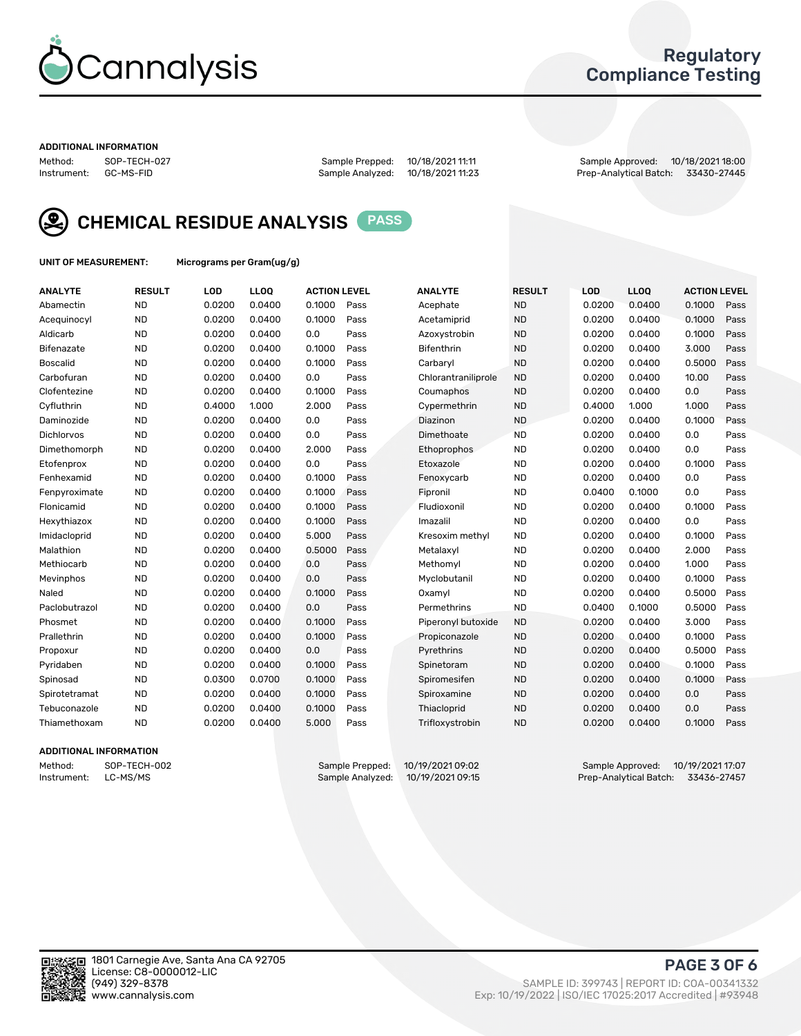

### Regulatory Compliance Testing

#### ADDITIONAL INFORMATION

| Method:     | SOP-TECH-02 |
|-------------|-------------|
| Instrument: | GC-MS-FID   |

Method: SOP-TECH-027 Sample Prepped: 10/18/2021 11:11 Sample Approved: 10/18/2021 18:00 Prep-Analytical Batch: 33430-27445



CHEMICAL RESIDUE ANALYSIS PASS

UNIT OF MEASUREMENT: Micrograms per Gram(ug/g)

| <b>ANALYTE</b>    | <b>RESULT</b> | LOD    | LLOQ   | <b>ACTION LEVEL</b> |      | <b>ANALYTE</b>      | <b>RESULT</b> | LOD    | <b>LLOQ</b> | <b>ACTION LEVEL</b> |      |
|-------------------|---------------|--------|--------|---------------------|------|---------------------|---------------|--------|-------------|---------------------|------|
| Abamectin         | <b>ND</b>     | 0.0200 | 0.0400 | 0.1000              | Pass | Acephate            | <b>ND</b>     | 0.0200 | 0.0400      | 0.1000              | Pass |
| Acequinocyl       | <b>ND</b>     | 0.0200 | 0.0400 | 0.1000              | Pass | Acetamiprid         | <b>ND</b>     | 0.0200 | 0.0400      | 0.1000              | Pass |
| Aldicarb          | <b>ND</b>     | 0.0200 | 0.0400 | 0.0                 | Pass | Azoxystrobin        | <b>ND</b>     | 0.0200 | 0.0400      | 0.1000              | Pass |
| Bifenazate        | <b>ND</b>     | 0.0200 | 0.0400 | 0.1000              | Pass | <b>Bifenthrin</b>   | <b>ND</b>     | 0.0200 | 0.0400      | 3.000               | Pass |
| <b>Boscalid</b>   | <b>ND</b>     | 0.0200 | 0.0400 | 0.1000              | Pass | Carbarvl            | <b>ND</b>     | 0.0200 | 0.0400      | 0.5000              | Pass |
| Carbofuran        | <b>ND</b>     | 0.0200 | 0.0400 | 0.0                 | Pass | Chlorantraniliprole | <b>ND</b>     | 0.0200 | 0.0400      | 10.00               | Pass |
| Clofentezine      | <b>ND</b>     | 0.0200 | 0.0400 | 0.1000              | Pass | Coumaphos           | <b>ND</b>     | 0.0200 | 0.0400      | 0.0                 | Pass |
| Cyfluthrin        | <b>ND</b>     | 0.4000 | 1.000  | 2.000               | Pass | Cypermethrin        | <b>ND</b>     | 0.4000 | 1.000       | 1.000               | Pass |
| Daminozide        | <b>ND</b>     | 0.0200 | 0.0400 | 0.0                 | Pass | Diazinon            | <b>ND</b>     | 0.0200 | 0.0400      | 0.1000              | Pass |
| <b>Dichlorvos</b> | <b>ND</b>     | 0.0200 | 0.0400 | 0.0                 | Pass | Dimethoate          | <b>ND</b>     | 0.0200 | 0.0400      | 0.0                 | Pass |
| Dimethomorph      | <b>ND</b>     | 0.0200 | 0.0400 | 2.000               | Pass | <b>Ethoprophos</b>  | <b>ND</b>     | 0.0200 | 0.0400      | 0.0                 | Pass |
| Etofenprox        | <b>ND</b>     | 0.0200 | 0.0400 | 0.0                 | Pass | Etoxazole           | <b>ND</b>     | 0.0200 | 0.0400      | 0.1000              | Pass |
| Fenhexamid        | <b>ND</b>     | 0.0200 | 0.0400 | 0.1000              | Pass | Fenoxycarb          | <b>ND</b>     | 0.0200 | 0.0400      | 0.0                 | Pass |
| Fenpyroximate     | <b>ND</b>     | 0.0200 | 0.0400 | 0.1000              | Pass | Fipronil            | <b>ND</b>     | 0.0400 | 0.1000      | 0.0                 | Pass |
| Flonicamid        | <b>ND</b>     | 0.0200 | 0.0400 | 0.1000              | Pass | Fludioxonil         | <b>ND</b>     | 0.0200 | 0.0400      | 0.1000              | Pass |
| Hexythiazox       | <b>ND</b>     | 0.0200 | 0.0400 | 0.1000              | Pass | Imazalil            | <b>ND</b>     | 0.0200 | 0.0400      | 0.0                 | Pass |
| Imidacloprid      | <b>ND</b>     | 0.0200 | 0.0400 | 5.000               | Pass | Kresoxim methyl     | <b>ND</b>     | 0.0200 | 0.0400      | 0.1000              | Pass |
| Malathion         | <b>ND</b>     | 0.0200 | 0.0400 | 0.5000              | Pass | Metalaxyl           | <b>ND</b>     | 0.0200 | 0.0400      | 2.000               | Pass |
| Methiocarb        | <b>ND</b>     | 0.0200 | 0.0400 | 0.0                 | Pass | Methomyl            | <b>ND</b>     | 0.0200 | 0.0400      | 1.000               | Pass |
| Mevinphos         | <b>ND</b>     | 0.0200 | 0.0400 | 0.0                 | Pass | Myclobutanil        | <b>ND</b>     | 0.0200 | 0.0400      | 0.1000              | Pass |
| Naled             | <b>ND</b>     | 0.0200 | 0.0400 | 0.1000              | Pass | Oxamyl              | <b>ND</b>     | 0.0200 | 0.0400      | 0.5000              | Pass |
| Paclobutrazol     | <b>ND</b>     | 0.0200 | 0.0400 | 0.0                 | Pass | Permethrins         | <b>ND</b>     | 0.0400 | 0.1000      | 0.5000              | Pass |
| Phosmet           | <b>ND</b>     | 0.0200 | 0.0400 | 0.1000              | Pass | Piperonyl butoxide  | <b>ND</b>     | 0.0200 | 0.0400      | 3.000               | Pass |
| Prallethrin       | <b>ND</b>     | 0.0200 | 0.0400 | 0.1000              | Pass | Propiconazole       | <b>ND</b>     | 0.0200 | 0.0400      | 0.1000              | Pass |
| Propoxur          | <b>ND</b>     | 0.0200 | 0.0400 | 0.0                 | Pass | Pyrethrins          | <b>ND</b>     | 0.0200 | 0.0400      | 0.5000              | Pass |
| Pyridaben         | <b>ND</b>     | 0.0200 | 0.0400 | 0.1000              | Pass | Spinetoram          | <b>ND</b>     | 0.0200 | 0.0400      | 0.1000              | Pass |
| Spinosad          | <b>ND</b>     | 0.0300 | 0.0700 | 0.1000              | Pass | Spiromesifen        | <b>ND</b>     | 0.0200 | 0.0400      | 0.1000              | Pass |
| Spirotetramat     | <b>ND</b>     | 0.0200 | 0.0400 | 0.1000              | Pass | Spiroxamine         | <b>ND</b>     | 0.0200 | 0.0400      | 0.0                 | Pass |
| Tebuconazole      | <b>ND</b>     | 0.0200 | 0.0400 | 0.1000              | Pass | Thiacloprid         | <b>ND</b>     | 0.0200 | 0.0400      | 0.0                 | Pass |
| Thiamethoxam      | <b>ND</b>     | 0.0200 | 0.0400 | 5.000               | Pass | Trifloxystrobin     | <b>ND</b>     | 0.0200 | 0.0400      | 0.1000              | Pass |
|                   |               |        |        |                     |      |                     |               |        |             |                     |      |

### ADDITIONAL INFORMATION

Method: SOP-TECH-002 Sample Prepped: 10/19/2021 09:02 Sample Approved: 10/19/2021 17:07 Prep-Analytical Batch: 33436-27457

PAGE 3 OF 6

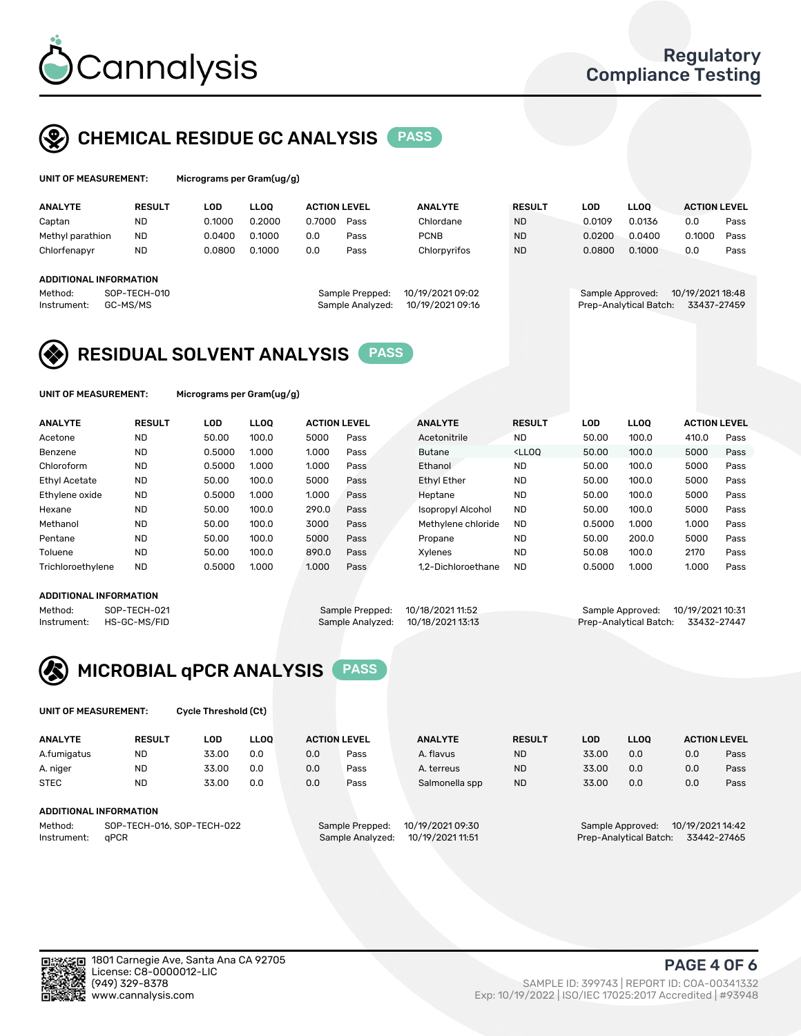

## CHEMICAL RESIDUE GC ANALYSIS PASS

| UNIT OF MEASUREMENT: | Micrograms per Gram(ug/g) |
|----------------------|---------------------------|
|                      |                           |

| Micrograms per Gram(ug/g) |  |  |  |
|---------------------------|--|--|--|
|---------------------------|--|--|--|

| <b>ANALYTE</b>         | <b>RESULT</b> | LOD    | <b>LLOO</b> | <b>ACTION LEVEL</b> |                  | <b>ANALYTE</b>   | <b>RESULT</b> | <b>LOD</b>       | <b>LLOO</b>            | <b>ACTION LEVEL</b> |      |
|------------------------|---------------|--------|-------------|---------------------|------------------|------------------|---------------|------------------|------------------------|---------------------|------|
| Captan                 | <b>ND</b>     | 0.1000 | 0.2000      | 0.7000              | Pass             | Chlordane        | <b>ND</b>     | 0.0109           | 0.0136                 | 0.0                 | Pass |
| Methyl parathion       | <b>ND</b>     | 0.0400 | 0.1000      | 0.0                 | Pass             | <b>PCNB</b>      | <b>ND</b>     | 0.0200           | 0.0400                 | 0.1000              | Pass |
| Chlorfenapyr           | <b>ND</b>     | 0.0800 | 0.1000      | 0.0                 | Pass             | Chlorpyrifos     | <b>ND</b>     | 0.0800           | 0.1000                 | 0.0                 | Pass |
|                        |               |        |             |                     |                  |                  |               |                  |                        |                     |      |
| ADDITIONAL INFORMATION |               |        |             |                     |                  |                  |               |                  |                        |                     |      |
| Method:                | SOP-TECH-010  |        |             |                     | Sample Prepped:  | 10/19/2021 09:02 |               | Sample Approved: |                        | 10/19/2021 18:48    |      |
| Instrument:            | GC-MS/MS      |        |             |                     | Sample Analyzed: | 10/19/2021 09:16 |               |                  | Prep-Analytical Batch: | 33437-27459         |      |
|                        |               |        |             |                     |                  |                  |               |                  |                        |                     |      |

# RESIDUAL SOLVENT ANALYSIS PASS

UNIT OF MEASUREMENT: Micrograms per Gram(ug/g)

| <b>ANALYTE</b>       | <b>RESULT</b> | LOD    | <b>LLOO</b> | <b>ACTION LEVEL</b> |      | <b>ANALYTE</b>           | <b>RESULT</b>                                                               | LOD    | <b>LLOO</b> | <b>ACTION LEVEL</b> |      |
|----------------------|---------------|--------|-------------|---------------------|------|--------------------------|-----------------------------------------------------------------------------|--------|-------------|---------------------|------|
| Acetone              | <b>ND</b>     | 50.00  | 100.0       | 5000                | Pass | Acetonitrile             | <b>ND</b>                                                                   | 50.00  | 100.0       | 410.0               | Pass |
| Benzene              | <b>ND</b>     | 0.5000 | 1.000       | 1.000               | Pass | <b>Butane</b>            | <lloo< td=""><td>50.00</td><td>100.0</td><td>5000</td><td>Pass</td></lloo<> | 50.00  | 100.0       | 5000                | Pass |
| Chloroform           | <b>ND</b>     | 0.5000 | 1.000       | 1.000               | Pass | Ethanol                  | <b>ND</b>                                                                   | 50.00  | 100.0       | 5000                | Pass |
| <b>Ethyl Acetate</b> | <b>ND</b>     | 50.00  | 100.0       | 5000                | Pass | <b>Ethyl Ether</b>       | <b>ND</b>                                                                   | 50.00  | 100.0       | 5000                | Pass |
| Ethylene oxide       | <b>ND</b>     | 0.5000 | 1.000       | 1.000               | Pass | Heptane                  | <b>ND</b>                                                                   | 50.00  | 100.0       | 5000                | Pass |
| Hexane               | <b>ND</b>     | 50.00  | 100.0       | 290.0               | Pass | <b>Isopropyl Alcohol</b> | <b>ND</b>                                                                   | 50.00  | 100.0       | 5000                | Pass |
| Methanol             | <b>ND</b>     | 50.00  | 100.0       | 3000                | Pass | Methylene chloride       | <b>ND</b>                                                                   | 0.5000 | 1.000       | 1.000               | Pass |
| Pentane              | <b>ND</b>     | 50.00  | 100.0       | 5000                | Pass | Propane                  | <b>ND</b>                                                                   | 50.00  | 200.0       | 5000                | Pass |
| Toluene              | <b>ND</b>     | 50.00  | 100.0       | 890.0               | Pass | Xvlenes                  | <b>ND</b>                                                                   | 50.08  | 100.0       | 2170                | Pass |
| Trichloroethylene    | <b>ND</b>     | 0.5000 | 1.000       | 1.000               | Pass | 1.2-Dichloroethane       | <b>ND</b>                                                                   | 0.5000 | 1.000       | 1.000               | Pass |

#### ADDITIONAL INFORMATION

|             | ADDITIONAL INFORMATION |                                   |                                    |  |
|-------------|------------------------|-----------------------------------|------------------------------------|--|
| Method:     | SOP-TECH-021           | Sample Prepped: 10/18/2021 11:52  | Sample Approved: 10/19/2021 10:31  |  |
| Instrument: | HS-GC-MS/FID           | Sample Analyzed: 10/18/2021 13:13 | Prep-Analytical Batch: 33432-27447 |  |



UNIT OF MEASUREMENT: Cycle Threshold (Ct)

| <b>ANALYTE</b>      | <b>RESULT</b>              | LOD   | <b>LLOO</b> |     | <b>ACTION LEVEL</b>                  | <b>ANALYTE</b> | <b>RESULT</b> | <b>LOD</b>                           | <b>LLOO</b>                           |     | <b>ACTION LEVEL</b> |  |
|---------------------|----------------------------|-------|-------------|-----|--------------------------------------|----------------|---------------|--------------------------------------|---------------------------------------|-----|---------------------|--|
| A.fumigatus         | <b>ND</b>                  | 33.00 | 0.0         | 0.0 | Pass                                 | A. flavus      | <b>ND</b>     | 33.00                                | 0.0                                   | 0.0 | Pass                |  |
| A. niger            | <b>ND</b>                  | 33.00 | 0.0         | 0.0 | Pass                                 | A. terreus     | <b>ND</b>     | 33.00                                | 0.0                                   | 0.0 | Pass                |  |
| <b>STEC</b>         | <b>ND</b>                  | 33.00 | 0.0         | 0.0 | Pass                                 | Salmonella spp | <b>ND</b>     | 33.00                                | 0.0                                   | 0.0 | Pass                |  |
|                     | ADDITIONAL INFORMATION     |       |             |     |                                      |                |               |                                      |                                       |     |                     |  |
| Method:             | SOP-TECH-016, SOP-TECH-022 |       |             |     | 10/19/2021 09:30<br>Sample Prepped:  |                |               | 10/19/2021 14:42<br>Sample Approved: |                                       |     |                     |  |
| aPCR<br>Instrument: |                            |       |             |     | 10/19/2021 11:51<br>Sample Analyzed: |                |               |                                      | Prep-Analytical Batch:<br>33442-27465 |     |                     |  |

(949) 329-8378 SAMPLE ID: 399743 | REPORT ID: COA-00341332 Exp: 10/19/2022 | ISO/IEC 17025:2017 Accredited | #93948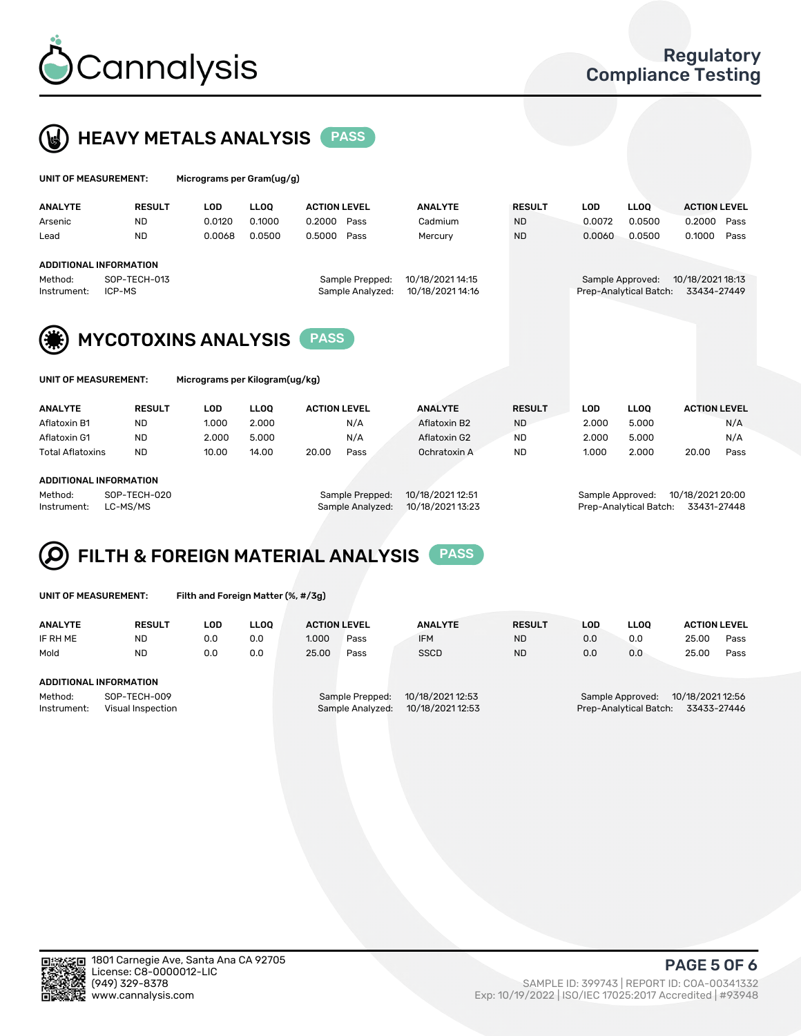



| UNIT OF MEASUREMENT:   |                                                         | Micrograms per Gram(ug/g) |             |                     |                                     |                                      |               |            |                                            |                                 |      |
|------------------------|---------------------------------------------------------|---------------------------|-------------|---------------------|-------------------------------------|--------------------------------------|---------------|------------|--------------------------------------------|---------------------------------|------|
| <b>ANALYTE</b>         | <b>RESULT</b>                                           | <b>LOD</b>                | <b>LLOO</b> | <b>ACTION LEVEL</b> |                                     | <b>ANALYTE</b>                       | <b>RESULT</b> | <b>LOD</b> | <b>LLOO</b>                                | <b>ACTION LEVEL</b>             |      |
| Arsenic                | <b>ND</b>                                               | 0.0120                    | 0.1000      | 0.2000              | Pass                                | Cadmium                              | <b>ND</b>     | 0.0072     | 0.0500                                     | 0.2000                          | Pass |
| Lead                   | <b>ND</b>                                               | 0.0068                    | 0.0500      | 0.5000              | Pass                                | Mercury                              | <b>ND</b>     | 0.0060     | 0.0500                                     | 0.1000                          | Pass |
| Method:<br>Instrument: | <b>ADDITIONAL INFORMATION</b><br>SOP-TECH-013<br>ICP-MS |                           |             |                     | Sample Prepped:<br>Sample Analyzed: | 10/18/2021 14:15<br>10/18/2021 14:16 |               |            | Sample Approved:<br>Prep-Analytical Batch: | 10/18/2021 18:13<br>33434-27449 |      |
|                        | <b>MYCOTOXINS ANALYSIS</b>                              |                           |             |                     |                                     |                                      |               |            |                                            |                                 |      |
| UNIT OF MEASUREMENT:   |                                                         |                           |             |                     |                                     |                                      |               |            |                                            |                                 |      |

| ANALYTE                      | <b>RESULT</b> | LOD   | <b>LLOO</b> | <b>ACTION LEVEL</b> |      | <b>ANALYTE</b> | <b>RESULT</b> | LOD   | <b>LLOO</b> | <b>ACTION LEVEL</b> |      |  |
|------------------------------|---------------|-------|-------------|---------------------|------|----------------|---------------|-------|-------------|---------------------|------|--|
| Aflatoxin B1                 | <b>ND</b>     | 1.000 | 2.000       |                     | N/A  | Aflatoxin B2   | <b>ND</b>     | 2.000 | 5.000       |                     | N/A  |  |
| Aflatoxin G1                 | <b>ND</b>     | 2.000 | 5.000       |                     | N/A  | Aflatoxin G2   | <b>ND</b>     | 2.000 | 5.000       |                     | N/A  |  |
| Total Aflatoxins             | <b>ND</b>     | 10.00 | 14.00       | 20.00               | Pass | Ochratoxin A   | <b>ND</b>     | 1.000 | 2.000       | 20.00               | Pass |  |
| 1.5.517101111111700111171011 |               |       |             |                     |      |                |               |       |             |                     |      |  |

### ADDITIONAL INFORMATION

| Method:    | SOP-T |
|------------|-------|
| nstrument: | LC-MS |

Method: SOP-TECH-020 Sample Prepped: 10/18/2021 12:51 Sample Approved: 10/18/2021 20:00 Instrument: LC-MS/MS Sample Analyzed: 10/18/2021 13:23 Prep-Analytical Batch: 33431-27448

# FILTH & FOREIGN MATERIAL ANALYSIS PASS

UNIT OF MEASUREMENT: Filth and Foreign Matter (%, #/3g)

| <b>ANALYTE</b>                                              | <b>RESULT</b> | LOD | <b>LLOO</b> | <b>ACTION LEVEL</b>                                                         |      | <b>ANALYTE</b> | <b>RESULT</b>                                                                 | LOD | <b>LLOO</b> | <b>ACTION LEVEL</b> |      |
|-------------------------------------------------------------|---------------|-----|-------------|-----------------------------------------------------------------------------|------|----------------|-------------------------------------------------------------------------------|-----|-------------|---------------------|------|
| IF RH ME                                                    | <b>ND</b>     | 0.0 | 0.0         | 1.000                                                                       | Pass | <b>IFM</b>     | <b>ND</b>                                                                     | 0.0 | 0.0         | 25.00               | Pass |
| Mold                                                        | <b>ND</b>     | 0.0 | 0.0         | 25.00                                                                       | Pass | <b>SSCD</b>    | <b>ND</b>                                                                     | 0.0 | 0.0         | 25.00               | Pass |
| ADDITIONAL INFORMATION                                      |               |     |             |                                                                             |      |                |                                                                               |     |             |                     |      |
| Method:<br>SOP-TECH-009<br>Instrument:<br>Visual Inspection |               |     |             | 10/18/2021 12:53<br>Sample Prepped:<br>10/18/2021 12:53<br>Sample Analyzed: |      |                | 10/18/2021 12:56<br>Sample Approved:<br>Prep-Analytical Batch:<br>33433-27446 |     |             |                     |      |